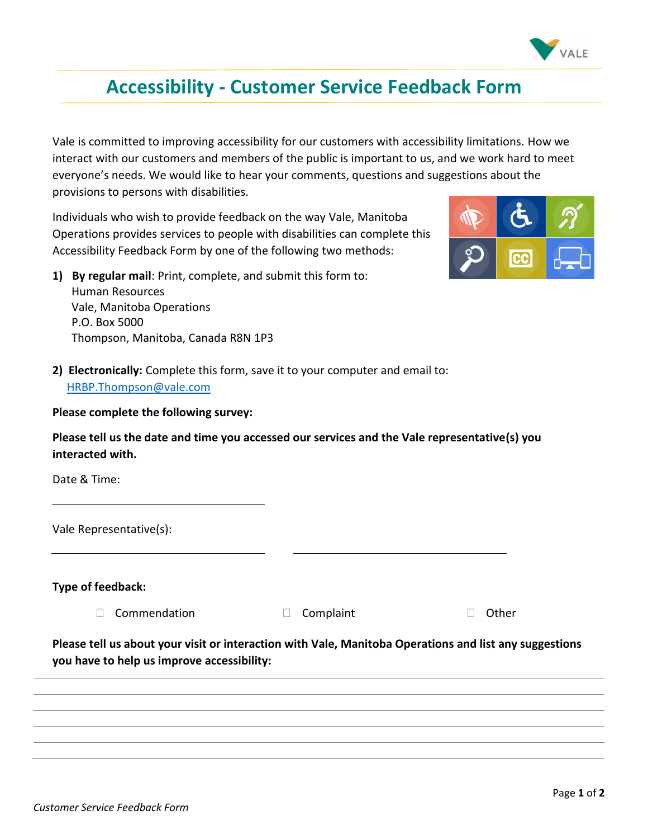

## **Accessibility - Customer Service Feedback Form**

Vale is committed to improving accessibility for our customers with accessibility limitations. How we interact with our customers and members of the public is important to us, and we work hard to meet everyone's needs. We would like to hear your comments, questions and suggestions about the provisions to persons with disabilities.

Individuals who wish to provide feedback on the way Vale, Manitoba Operations provides services to people with disabilities can complete this Accessibility Feedback Form by one of the following two methods:



- **1) By regular mail**: Print, complete, and submit this form to: Human Resources Vale, Manitoba Operations P.O. Box 5000 Thompson, Manitoba, Canada R8N 1P3
- **2) Electronically:** Complete this form, save it to your computer and email to: [HRBP.Thompson@vale.com](mailto:HRBP.Thompson@vale.com)

**Please complete the following survey:**

**Please tell us the date and time you accessed our services and the Vale representative(s) you interacted with.**

Date & Time:

Vale Representative(s):

**Type of feedback:** 

- □ Commendation □ Complaint □ Other
- 

## **Please tell us about your visit or interaction with Vale, Manitoba Operations and list any suggestions you have to help us improve accessibility:**